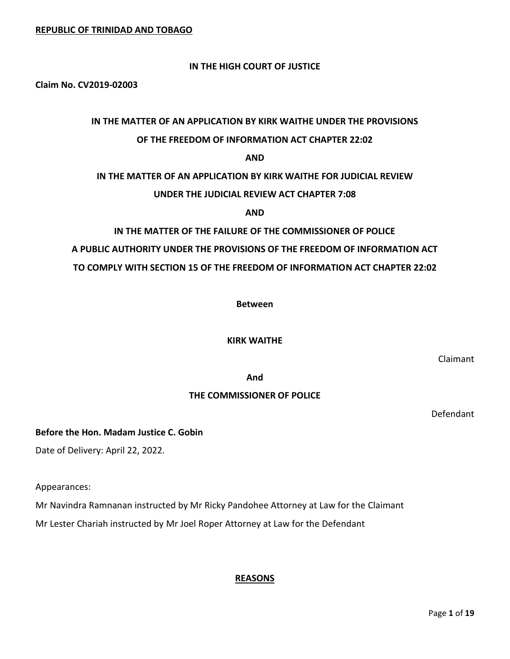# **IN THE HIGH COURT OF JUSTICE**

**Claim No. CV2019-02003**

# **IN THE MATTER OF AN APPLICATION BY KIRK WAITHE UNDER THE PROVISIONS OF THE FREEDOM OF INFORMATION ACT CHAPTER 22:02**

#### **AND**

#### **IN THE MATTER OF AN APPLICATION BY KIRK WAITHE FOR JUDICIAL REVIEW**

#### **UNDER THE JUDICIAL REVIEW ACT CHAPTER 7:08**

**AND**

#### **IN THE MATTER OF THE FAILURE OF THE COMMISSIONER OF POLICE**

# **A PUBLIC AUTHORITY UNDER THE PROVISIONS OF THE FREEDOM OF INFORMATION ACT**

# **TO COMPLY WITH SECTION 15 OF THE FREEDOM OF INFORMATION ACT CHAPTER 22:02**

**Between** 

#### **KIRK WAITHE**

Claimant

**And**

# **THE COMMISSIONER OF POLICE**

Defendant

# **Before the Hon. Madam Justice C. Gobin**

Date of Delivery: April 22, 2022.

Appearances:

Mr Navindra Ramnanan instructed by Mr Ricky Pandohee Attorney at Law for the Claimant

Mr Lester Chariah instructed by Mr Joel Roper Attorney at Law for the Defendant

# **REASONS**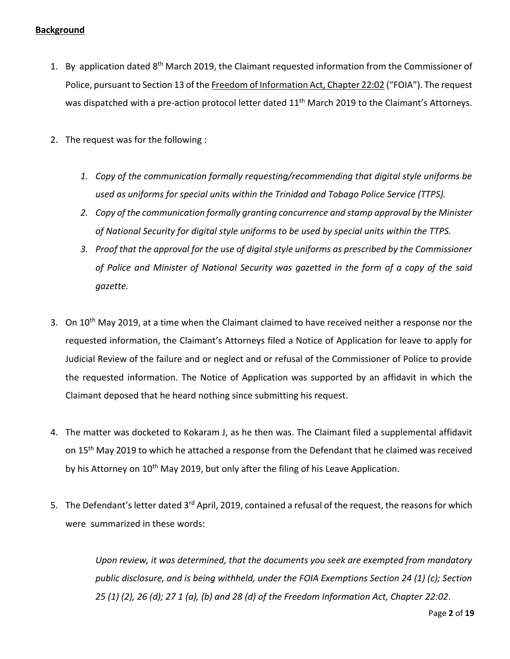# **Background**

- 1. By application dated 8<sup>th</sup> March 2019, the Claimant requested information from the Commissioner of Police, pursuant to Section 13 of the Freedom of Information Act, Chapter 22:02 ("FOIA"). The request was dispatched with a pre-action protocol letter dated 11<sup>th</sup> March 2019 to the Claimant's Attornevs.
- 2. The request was for the following :
	- *1. Copy of the communication formally requesting/recommending that digital style uniforms be used as uniforms for special units within the Trinidad and Tobago Police Service (TTPS).*
	- *2. Copy of the communication formally granting concurrence and stamp approval by the Minister of National Security for digital style uniforms to be used by special units within the TTPS.*
	- *3. Proof that the approval for the use of digital style uniforms as prescribed by the Commissioner of Police and Minister of National Security was gazetted in the form of a copy of the said gazette.*
- 3. On 10<sup>th</sup> May 2019, at a time when the Claimant claimed to have received neither a response nor the requested information, the Claimant's Attorneys filed a Notice of Application for leave to apply for Judicial Review of the failure and or neglect and or refusal of the Commissioner of Police to provide the requested information. The Notice of Application was supported by an affidavit in which the Claimant deposed that he heard nothing since submitting his request.
- 4. The matter was docketed to Kokaram J, as he then was. The Claimant filed a supplemental affidavit on 15<sup>th</sup> May 2019 to which he attached a response from the Defendant that he claimed was received by his Attorney on  $10<sup>th</sup>$  May 2019, but only after the filing of his Leave Application.
- 5. The Defendant's letter dated 3<sup>rd</sup> April, 2019, contained a refusal of the request, the reasons for which were summarized in these words:

*Upon review, it was determined, that the documents you seek are exempted from mandatory public disclosure, and is being withheld, under the FOIA Exemptions Section 24 (1) (c); Section 25 (1) (2), 26 (d); 27 1 (a), (b) and 28 (d) of the Freedom Information Act, Chapter 22:02*.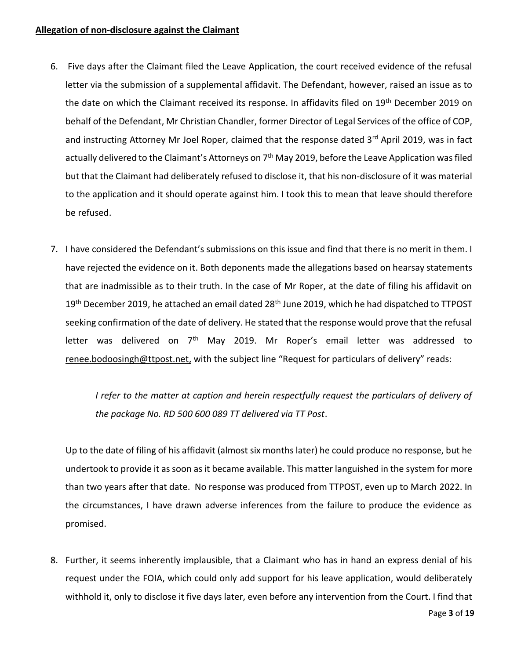### **Allegation of non-disclosure against the Claimant**

- 6. Five days after the Claimant filed the Leave Application, the court received evidence of the refusal letter via the submission of a supplemental affidavit. The Defendant, however, raised an issue as to the date on which the Claimant received its response. In affidavits filed on 19<sup>th</sup> December 2019 on behalf of the Defendant, Mr Christian Chandler, former Director of Legal Services of the office of COP, and instructing Attorney Mr Joel Roper, claimed that the response dated 3rd April 2019, was in fact actually delivered to the Claimant's Attorneys on 7<sup>th</sup> May 2019, before the Leave Application was filed but that the Claimant had deliberately refused to disclose it, that his non-disclosure of it was material to the application and it should operate against him. I took this to mean that leave should therefore be refused.
- 7. I have considered the Defendant's submissions on this issue and find that there is no merit in them. I have rejected the evidence on it. Both deponents made the allegations based on hearsay statements that are inadmissible as to their truth. In the case of Mr Roper, at the date of filing his affidavit on 19<sup>th</sup> December 2019, he attached an email dated 28<sup>th</sup> June 2019, which he had dispatched to TTPOST seeking confirmation of the date of delivery. He stated that the response would prove that the refusal letter was delivered on  $7<sup>th</sup>$  May 2019. Mr Roper's email letter was addressed to [renee.bodoosingh@ttpost.net,](mailto:renee.bodoosingh@ttpost.net) with the subject line "Request for particulars of delivery" reads:

*I refer to the matter at caption and herein respectfully request the particulars of delivery of the package No. RD 500 600 089 TT delivered via TT Post*.

Up to the date of filing of his affidavit (almost six months later) he could produce no response, but he undertook to provide it as soon as it became available. This matter languished in the system for more than two years after that date. No response was produced from TTPOST, even up to March 2022. In the circumstances, I have drawn adverse inferences from the failure to produce the evidence as promised.

8. Further, it seems inherently implausible, that a Claimant who has in hand an express denial of his request under the FOIA, which could only add support for his leave application, would deliberately withhold it, only to disclose it five days later, even before any intervention from the Court. I find that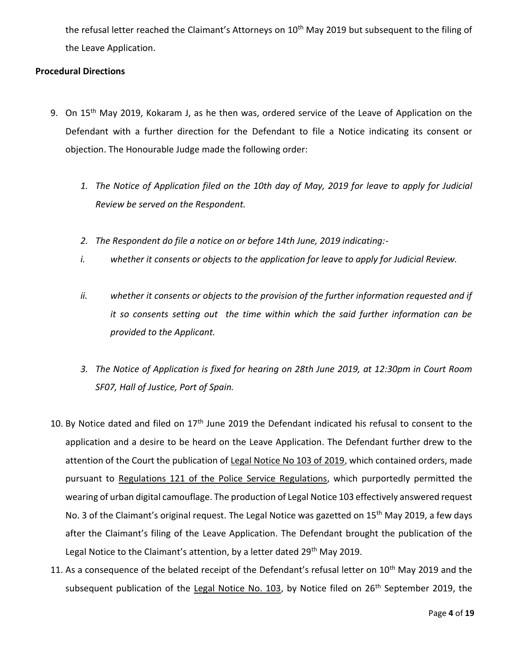the refusal letter reached the Claimant's Attorneys on 10<sup>th</sup> May 2019 but subsequent to the filing of the Leave Application.

### **Procedural Directions**

- 9. On 15<sup>th</sup> May 2019, Kokaram J, as he then was, ordered service of the Leave of Application on the Defendant with a further direction for the Defendant to file a Notice indicating its consent or objection. The Honourable Judge made the following order:
	- *1. The Notice of Application filed on the 10th day of May, 2019 for leave to apply for Judicial Review be served on the Respondent.*
	- *2. The Respondent do file a notice on or before 14th June, 2019 indicating:-*
	- *i. whether it consents or objects to the application for leave to apply for Judicial Review.*
	- *ii. whether it consents or objects to the provision of the further information requested and if it so consents setting out the time within which the said further information can be provided to the Applicant.*
	- *3. The Notice of Application is fixed for hearing on 28th June 2019, at 12:30pm in Court Room SF07, Hall of Justice, Port of Spain.*
- 10. By Notice dated and filed on  $17<sup>th</sup>$  June 2019 the Defendant indicated his refusal to consent to the application and a desire to be heard on the Leave Application. The Defendant further drew to the attention of the Court the publication of Legal Notice No 103 of 2019, which contained orders, made pursuant to Regulations 121 of the Police Service Regulations, which purportedly permitted the wearing of urban digital camouflage. The production of Legal Notice 103 effectively answered request No. 3 of the Claimant's original request. The Legal Notice was gazetted on 15<sup>th</sup> May 2019, a few days after the Claimant's filing of the Leave Application. The Defendant brought the publication of the Legal Notice to the Claimant's attention, by a letter dated  $29<sup>th</sup>$  May 2019.
- 11. As a consequence of the belated receipt of the Defendant's refusal letter on 10<sup>th</sup> May 2019 and the subsequent publication of the Legal Notice No. 103, by Notice filed on 26<sup>th</sup> September 2019, the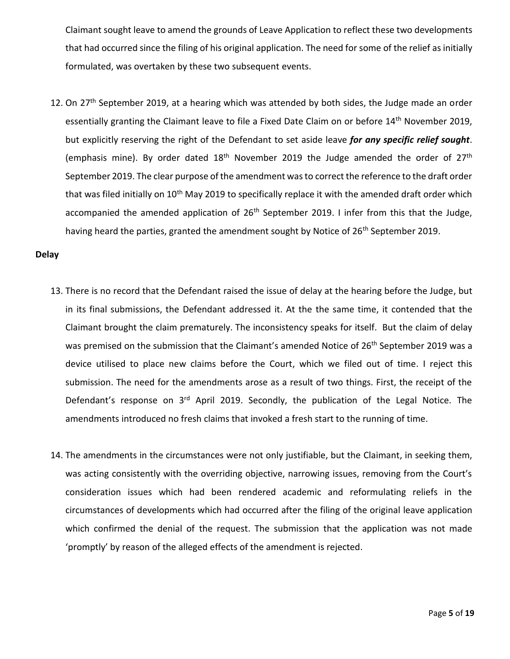Claimant sought leave to amend the grounds of Leave Application to reflect these two developments that had occurred since the filing of his original application. The need for some of the relief as initially formulated, was overtaken by these two subsequent events.

12. On 27<sup>th</sup> September 2019, at a hearing which was attended by both sides, the Judge made an order essentially granting the Claimant leave to file a Fixed Date Claim on or before 14<sup>th</sup> November 2019, but explicitly reserving the right of the Defendant to set aside leave *for any specific relief sought*. (emphasis mine). By order dated  $18<sup>th</sup>$  November 2019 the Judge amended the order of  $27<sup>th</sup>$ September 2019. The clear purpose of the amendment was to correct the reference to the draft order that was filed initially on 10<sup>th</sup> May 2019 to specifically replace it with the amended draft order which accompanied the amended application of  $26<sup>th</sup>$  September 2019. I infer from this that the Judge, having heard the parties, granted the amendment sought by Notice of 26<sup>th</sup> September 2019.

#### **Delay**

- 13. There is no record that the Defendant raised the issue of delay at the hearing before the Judge, but in its final submissions, the Defendant addressed it. At the the same time, it contended that the Claimant brought the claim prematurely. The inconsistency speaks for itself. But the claim of delay was premised on the submission that the Claimant's amended Notice of 26<sup>th</sup> September 2019 was a device utilised to place new claims before the Court, which we filed out of time. I reject this submission. The need for the amendments arose as a result of two things. First, the receipt of the Defendant's response on 3<sup>rd</sup> April 2019. Secondly, the publication of the Legal Notice. The amendments introduced no fresh claims that invoked a fresh start to the running of time.
- 14. The amendments in the circumstances were not only justifiable, but the Claimant, in seeking them, was acting consistently with the overriding objective, narrowing issues, removing from the Court's consideration issues which had been rendered academic and reformulating reliefs in the circumstances of developments which had occurred after the filing of the original leave application which confirmed the denial of the request. The submission that the application was not made 'promptly' by reason of the alleged effects of the amendment is rejected.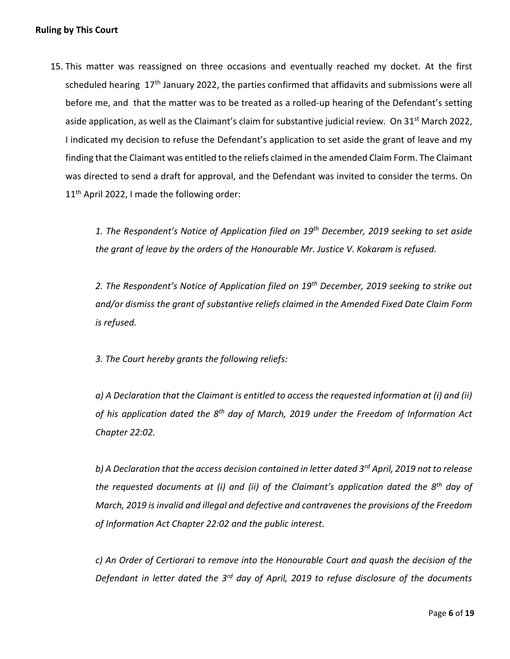## **Ruling by This Court**

15. This matter was reassigned on three occasions and eventually reached my docket. At the first scheduled hearing  $17<sup>th</sup>$  January 2022, the parties confirmed that affidavits and submissions were all before me, and that the matter was to be treated as a rolled-up hearing of the Defendant's setting aside application, as well as the Claimant's claim for substantive judicial review. On 31<sup>st</sup> March 2022, I indicated my decision to refuse the Defendant's application to set aside the grant of leave and my finding that the Claimant was entitled to the reliefs claimed in the amended Claim Form. The Claimant was directed to send a draft for approval, and the Defendant was invited to consider the terms. On 11<sup>th</sup> April 2022, I made the following order:

> *1. The Respondent's Notice of Application filed on 19th December, 2019 seeking to set aside the grant of leave by the orders of the Honourable Mr. Justice V. Kokaram is refused.*

> *2. The Respondent's Notice of Application filed on 19th December, 2019 seeking to strike out and/or dismiss the grant of substantive reliefs claimed in the Amended Fixed Date Claim Form is refused.*

*3. The Court hereby grants the following reliefs:* 

*a) A Declaration that the Claimant is entitled to access the requested information at (i) and (ii) of his application dated the 8th day of March, 2019 under the Freedom of Information Act Chapter 22:02.* 

*b) A Declaration that the access decision contained in letter dated 3rd April, 2019 not to release the requested documents at (i) and (ii) of the Claimant's application dated the 8th day of March, 2019 is invalid and illegal and defective and contravenes the provisions of the Freedom of Information Act Chapter 22:02 and the public interest.* 

*c) An Order of Certiorari to remove into the Honourable Court and quash the decision of the Defendant in letter dated the 3rd day of April, 2019 to refuse disclosure of the documents*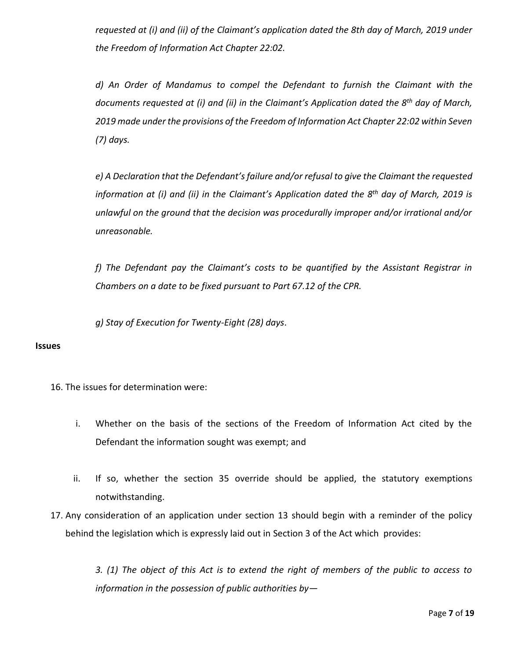*requested at (i) and (ii) of the Claimant's application dated the 8th day of March, 2019 under the Freedom of Information Act Chapter 22:02.*

*d) An Order of Mandamus to compel the Defendant to furnish the Claimant with the documents requested at (i) and (ii) in the Claimant's Application dated the 8th day of March, 2019 made under the provisions of the Freedom of Information Act Chapter 22:02 within Seven (7) days.* 

*e) A Declaration that the Defendant's failure and/or refusal to give the Claimant the requested information at (i) and (ii) in the Claimant's Application dated the 8th day of March, 2019 is unlawful on the ground that the decision was procedurally improper and/or irrational and/or unreasonable.* 

*f) The Defendant pay the Claimant's costs to be quantified by the Assistant Registrar in Chambers on a date to be fixed pursuant to Part 67.12 of the CPR.* 

*g) Stay of Execution for Twenty-Eight (28) days*.

#### **Issues**

- 16. The issues for determination were:
	- i. Whether on the basis of the sections of the Freedom of Information Act cited by the Defendant the information sought was exempt; and
	- ii. If so, whether the section 35 override should be applied, the statutory exemptions notwithstanding.
- 17. Any consideration of an application under section 13 should begin with a reminder of the policy behind the legislation which is expressly laid out in Section 3 of the Act which provides:

*3. (1) The object of this Act is to extend the right of members of the public to access to information in the possession of public authorities by—*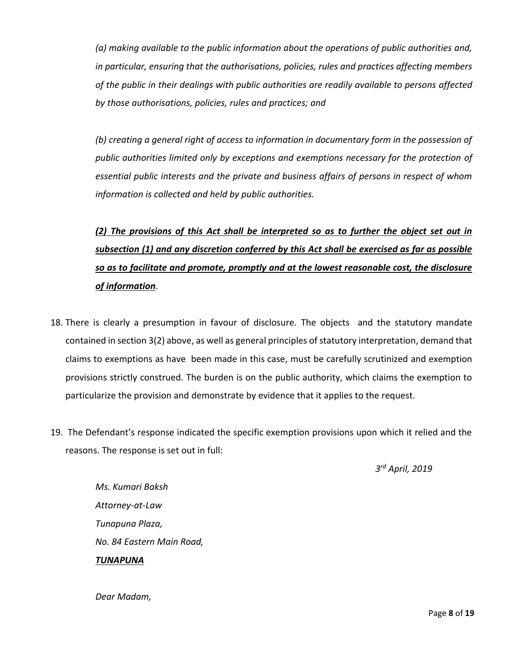*(a) making available to the public information about the operations of public authorities and, in particular, ensuring that the authorisations, policies, rules and practices affecting members of the public in their dealings with public authorities are readily available to persons affected by those authorisations, policies, rules and practices; and* 

*(b) creating a general right of access to information in documentary form in the possession of public authorities limited only by exceptions and exemptions necessary for the protection of essential public interests and the private and business affairs of persons in respect of whom information is collected and held by public authorities.*

# *(2) The provisions of this Act shall be interpreted so as to further the object set out in subsection (1) and any discretion conferred by this Act shall be exercised as far as possible so as to facilitate and promote, promptly and at the lowest reasonable cost, the disclosure of information*.

- 18. There is clearly a presumption in favour of disclosure. The objects and the statutory mandate contained in section 3(2) above, as well as general principles of statutory interpretation, demand that claims to exemptions as have been made in this case, must be carefully scrutinized and exemption provisions strictly construed. The burden is on the public authority, which claims the exemption to particularize the provision and demonstrate by evidence that it applies to the request.
- 19. The Defendant's response indicated the specific exemption provisions upon which it relied and the reasons. The response is set out in full:

*3 rd April, 2019*

*Ms. Kumari Baksh Attorney-at-Law Tunapuna Plaza, No. 84 Eastern Main Road, TUNAPUNA*

*Dear Madam,*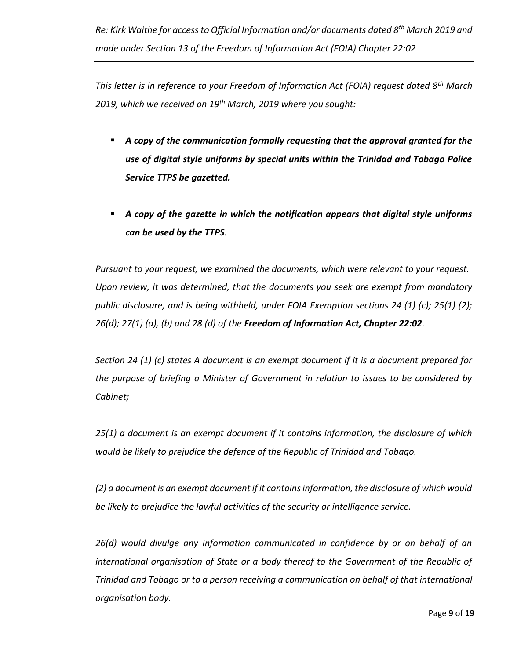*This letter is in reference to your Freedom of Information Act (FOIA) request dated 8th March 2019, which we received on 19th March, 2019 where you sought:*

- **A** copy of the communication formally requesting that the approval granted for the *use of digital style uniforms by special units within the Trinidad and Tobago Police Service TTPS be gazetted.*
- *A copy of the gazette in which the notification appears that digital style uniforms can be used by the TTPS.*

*Pursuant to your request, we examined the documents, which were relevant to your request. Upon review, it was determined, that the documents you seek are exempt from mandatory public disclosure, and is being withheld, under FOIA Exemption sections 24 (1) (c); 25(1) (2); 26(d); 27(1) (a), (b) and 28 (d) of the Freedom of Information Act, Chapter 22:02.*

*Section 24 (1) (c) states A document is an exempt document if it is a document prepared for the purpose of briefing a Minister of Government in relation to issues to be considered by Cabinet;*

*25(1) a document is an exempt document if it contains information, the disclosure of which would be likely to prejudice the defence of the Republic of Trinidad and Tobago.*

*(2) a document is an exempt document if it contains information, the disclosure of which would be likely to prejudice the lawful activities of the security or intelligence service.*

*26(d) would divulge any information communicated in confidence by or on behalf of an international organisation of State or a body thereof to the Government of the Republic of Trinidad and Tobago or to a person receiving a communication on behalf of that international organisation body.*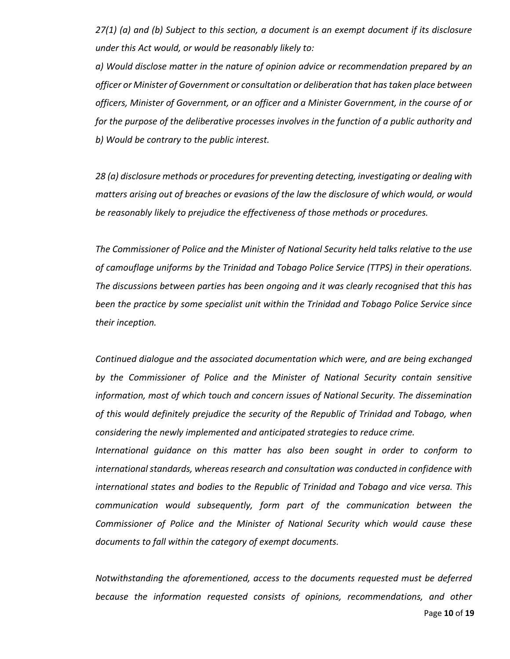*27(1) (a) and (b) Subject to this section, a document is an exempt document if its disclosure under this Act would, or would be reasonably likely to:*

*a) Would disclose matter in the nature of opinion advice or recommendation prepared by an officer or Minister of Government or consultation or deliberation that has taken place between officers, Minister of Government, or an officer and a Minister Government, in the course of or for the purpose of the deliberative processes involves in the function of a public authority and b) Would be contrary to the public interest.*

*28 (a) disclosure methods or procedures for preventing detecting, investigating or dealing with matters arising out of breaches or evasions of the law the disclosure of which would, or would be reasonably likely to prejudice the effectiveness of those methods or procedures.*

*The Commissioner of Police and the Minister of National Security held talks relative to the use of camouflage uniforms by the Trinidad and Tobago Police Service (TTPS) in their operations. The discussions between parties has been ongoing and it was clearly recognised that this has been the practice by some specialist unit within the Trinidad and Tobago Police Service since their inception.*

*Continued dialogue and the associated documentation which were, and are being exchanged by the Commissioner of Police and the Minister of National Security contain sensitive information, most of which touch and concern issues of National Security. The dissemination of this would definitely prejudice the security of the Republic of Trinidad and Tobago, when considering the newly implemented and anticipated strategies to reduce crime.*

*International guidance on this matter has also been sought in order to conform to international standards, whereas research and consultation was conducted in confidence with international states and bodies to the Republic of Trinidad and Tobago and vice versa. This communication would subsequently, form part of the communication between the Commissioner of Police and the Minister of National Security which would cause these documents to fall within the category of exempt documents.*

*Notwithstanding the aforementioned, access to the documents requested must be deferred because the information requested consists of opinions, recommendations, and other*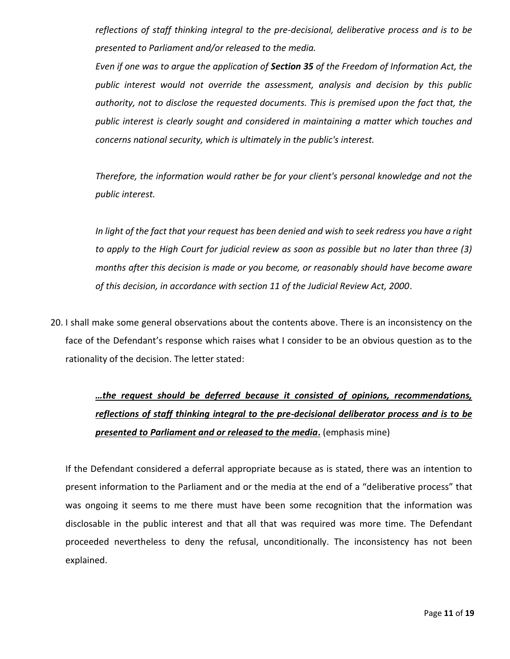*reflections of staff thinking integral to the pre-decisional, deliberative process and is to be presented to Parliament and/or released to the media.*

*Even if one was to argue the application of Section 35 of the Freedom of Information Act, the public interest would not override the assessment, analysis and decision by this public authority, not to disclose the requested documents. This is premised upon the fact that, the public interest is clearly sought and considered in maintaining a matter which touches and concerns national security, which is ultimately in the public's interest.*

*Therefore, the information would rather be for your client's personal knowledge and not the public interest.*

*In light of the fact that your request has been denied and wish to seek redress you have a right to apply to the High Court for judicial review as soon as possible but no later than three (3) months after this decision is made or you become, or reasonably should have become aware of this decision, in accordance with section 11 of the Judicial Review Act, 2000*.

20. I shall make some general observations about the contents above. There is an inconsistency on the face of the Defendant's response which raises what I consider to be an obvious question as to the rationality of the decision. The letter stated:

> *…the request should be deferred because it consisted of opinions, recommendations, reflections of staff thinking integral to the pre-decisional deliberator process and is to be presented to Parliament and or released to the media***.** (emphasis mine)

If the Defendant considered a deferral appropriate because as is stated, there was an intention to present information to the Parliament and or the media at the end of a "deliberative process" that was ongoing it seems to me there must have been some recognition that the information was disclosable in the public interest and that all that was required was more time. The Defendant proceeded nevertheless to deny the refusal, unconditionally. The inconsistency has not been explained.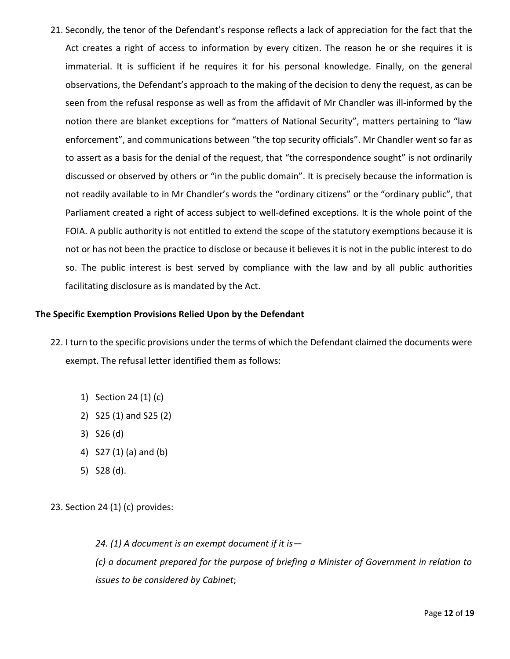21. Secondly, the tenor of the Defendant's response reflects a lack of appreciation for the fact that the Act creates a right of access to information by every citizen. The reason he or she requires it is immaterial. It is sufficient if he requires it for his personal knowledge. Finally, on the general observations, the Defendant's approach to the making of the decision to deny the request, as can be seen from the refusal response as well as from the affidavit of Mr Chandler was ill-informed by the notion there are blanket exceptions for "matters of National Security", matters pertaining to "law enforcement", and communications between "the top security officials". Mr Chandler went so far as to assert as a basis for the denial of the request, that "the correspondence sought" is not ordinarily discussed or observed by others or "in the public domain". It is precisely because the information is not readily available to in Mr Chandler's words the "ordinary citizens" or the "ordinary public", that Parliament created a right of access subject to well-defined exceptions. It is the whole point of the FOIA. A public authority is not entitled to extend the scope of the statutory exemptions because it is not or has not been the practice to disclose or because it believes it is not in the public interest to do so. The public interest is best served by compliance with the law and by all public authorities facilitating disclosure as is mandated by the Act.

### **The Specific Exemption Provisions Relied Upon by the Defendant**

- 22. I turn to the specific provisions under the terms of which the Defendant claimed the documents were exempt. The refusal letter identified them as follows:
	- 1) Section 24 (1) (c)
	- 2) S25 (1) and S25 (2)
	- 3) S26 (d)
	- 4) S27 (1) (a) and (b)
	- 5) S28 (d).
- 23. Section 24 (1) (c) provides:

*24. (1) A document is an exempt document if it is— (c) a document prepared for the purpose of briefing a Minister of Government in relation to issues to be considered by Cabinet*;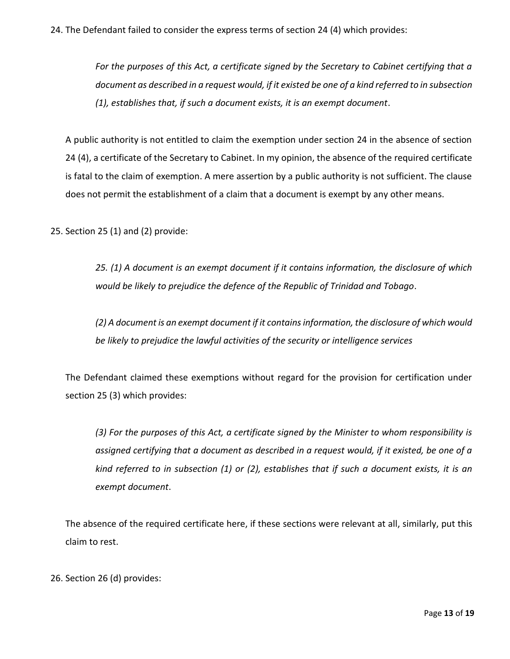# 24. The Defendant failed to consider the express terms of section 24 (4) which provides:

*For the purposes of this Act, a certificate signed by the Secretary to Cabinet certifying that a document as described in a request would, if it existed be one of a kind referred to in subsection (1), establishes that, if such a document exists, it is an exempt document*.

A public authority is not entitled to claim the exemption under section 24 in the absence of section 24 (4), a certificate of the Secretary to Cabinet. In my opinion, the absence of the required certificate is fatal to the claim of exemption. A mere assertion by a public authority is not sufficient. The clause does not permit the establishment of a claim that a document is exempt by any other means.

25. Section 25 (1) and (2) provide:

*25. (1) A document is an exempt document if it contains information, the disclosure of which would be likely to prejudice the defence of the Republic of Trinidad and Tobago*.

*(2) A document is an exempt document if it contains information, the disclosure of which would be likely to prejudice the lawful activities of the security or intelligence services*

The Defendant claimed these exemptions without regard for the provision for certification under section 25 (3) which provides:

*(3) For the purposes of this Act, a certificate signed by the Minister to whom responsibility is assigned certifying that a document as described in a request would, if it existed, be one of a kind referred to in subsection (1) or (2), establishes that if such a document exists, it is an exempt document*.

The absence of the required certificate here, if these sections were relevant at all, similarly, put this claim to rest.

26. Section 26 (d) provides: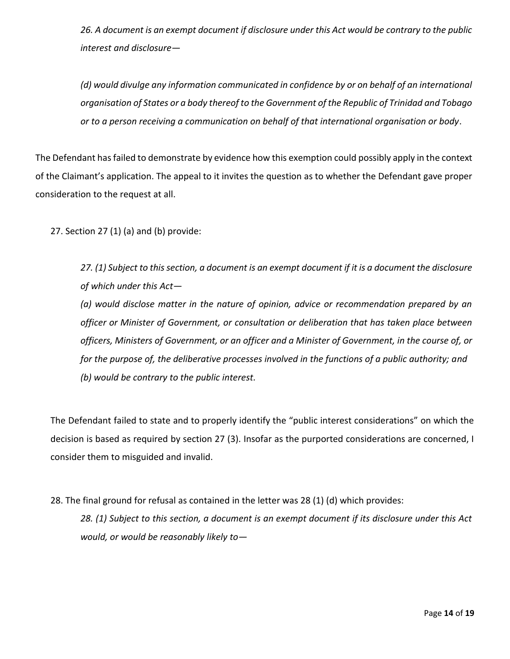*26. A document is an exempt document if disclosure under this Act would be contrary to the public interest and disclosure—*

*(d) would divulge any information communicated in confidence by or on behalf of an international organisation of States or a body thereof to the Government of the Republic of Trinidad and Tobago or to a person receiving a communication on behalf of that international organisation or body*.

The Defendant has failed to demonstrate by evidence how this exemption could possibly apply in the context of the Claimant's application. The appeal to it invites the question as to whether the Defendant gave proper consideration to the request at all.

27. Section 27 (1) (a) and (b) provide:

*27. (1) Subject to this section, a document is an exempt document if it is a document the disclosure of which under this Act—*

*(a) would disclose matter in the nature of opinion, advice or recommendation prepared by an officer or Minister of Government, or consultation or deliberation that has taken place between officers, Ministers of Government, or an officer and a Minister of Government, in the course of, or for the purpose of, the deliberative processes involved in the functions of a public authority; and (b) would be contrary to the public interest.*

The Defendant failed to state and to properly identify the "public interest considerations" on which the decision is based as required by section 27 (3). Insofar as the purported considerations are concerned, I consider them to misguided and invalid.

28. The final ground for refusal as contained in the letter was 28 (1) (d) which provides:

*28. (1) Subject to this section, a document is an exempt document if its disclosure under this Act would, or would be reasonably likely to—*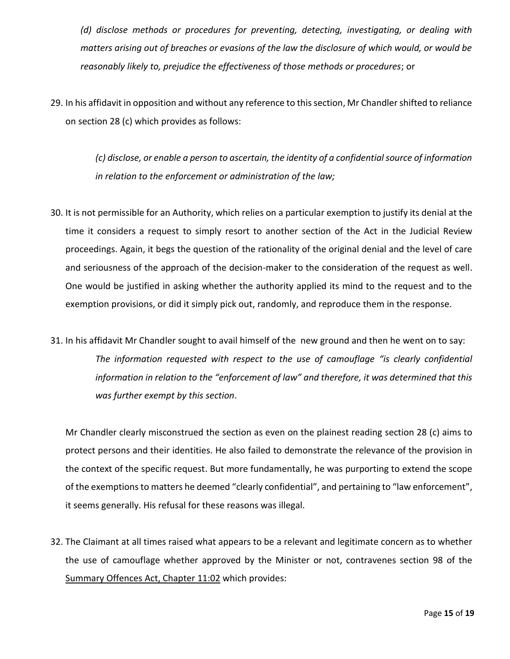*(d) disclose methods or procedures for preventing, detecting, investigating, or dealing with matters arising out of breaches or evasions of the law the disclosure of which would, or would be reasonably likely to, prejudice the effectiveness of those methods or procedures*; or

29. In his affidavit in opposition and without any reference to this section, Mr Chandler shifted to reliance on section 28 (c) which provides as follows:

> *(c) disclose, or enable a person to ascertain, the identity of a confidential source of information in relation to the enforcement or administration of the law;*

- 30. It is not permissible for an Authority, which relies on a particular exemption to justify its denial at the time it considers a request to simply resort to another section of the Act in the Judicial Review proceedings. Again, it begs the question of the rationality of the original denial and the level of care and seriousness of the approach of the decision-maker to the consideration of the request as well. One would be justified in asking whether the authority applied its mind to the request and to the exemption provisions, or did it simply pick out, randomly, and reproduce them in the response.
- 31. In his affidavit Mr Chandler sought to avail himself of the new ground and then he went on to say: *The information requested with respect to the use of camouflage "is clearly confidential information in relation to the "enforcement of law" and therefore, it was determined that this was further exempt by this section*.

Mr Chandler clearly misconstrued the section as even on the plainest reading section 28 (c) aims to protect persons and their identities. He also failed to demonstrate the relevance of the provision in the context of the specific request. But more fundamentally, he was purporting to extend the scope of the exemptions to matters he deemed "clearly confidential", and pertaining to "law enforcement", it seems generally. His refusal for these reasons was illegal.

32. The Claimant at all times raised what appears to be a relevant and legitimate concern as to whether the use of camouflage whether approved by the Minister or not, contravenes section 98 of the Summary Offences Act, Chapter 11:02 which provides: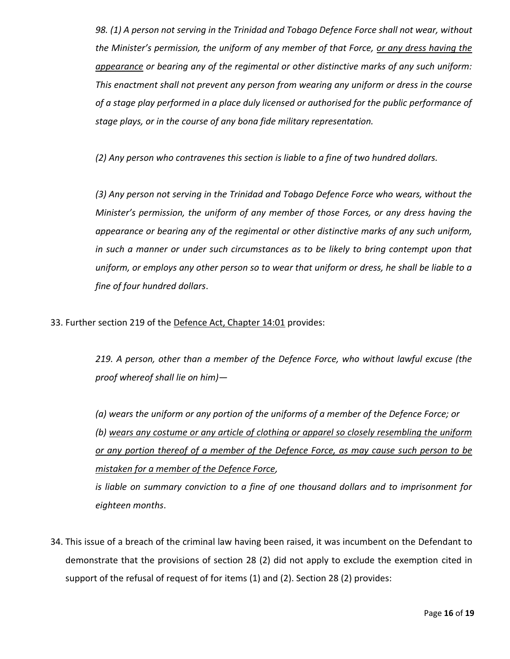*98. (1) A person not serving in the Trinidad and Tobago Defence Force shall not wear, without the Minister's permission, the uniform of any member of that Force, or any dress having the appearance or bearing any of the regimental or other distinctive marks of any such uniform: This enactment shall not prevent any person from wearing any uniform or dress in the course of a stage play performed in a place duly licensed or authorised for the public performance of stage plays, or in the course of any bona fide military representation.* 

*(2) Any person who contravenes this section is liable to a fine of two hundred dollars.* 

*(3) Any person not serving in the Trinidad and Tobago Defence Force who wears, without the Minister's permission, the uniform of any member of those Forces, or any dress having the appearance or bearing any of the regimental or other distinctive marks of any such uniform, in such a manner or under such circumstances as to be likely to bring contempt upon that uniform, or employs any other person so to wear that uniform or dress, he shall be liable to a fine of four hundred dollars*.

33. Further section 219 of the Defence Act, Chapter 14:01 provides:

*219. A person, other than a member of the Defence Force, who without lawful excuse (the proof whereof shall lie on him)—*

*(a) wears the uniform or any portion of the uniforms of a member of the Defence Force; or (b) wears any costume or any article of clothing or apparel so closely resembling the uniform or any portion thereof of a member of the Defence Force, as may cause such person to be mistaken for a member of the Defence Force,* 

*is liable on summary conviction to a fine of one thousand dollars and to imprisonment for eighteen months*.

34. This issue of a breach of the criminal law having been raised, it was incumbent on the Defendant to demonstrate that the provisions of section 28 (2) did not apply to exclude the exemption cited in support of the refusal of request of for items (1) and (2). Section 28 (2) provides: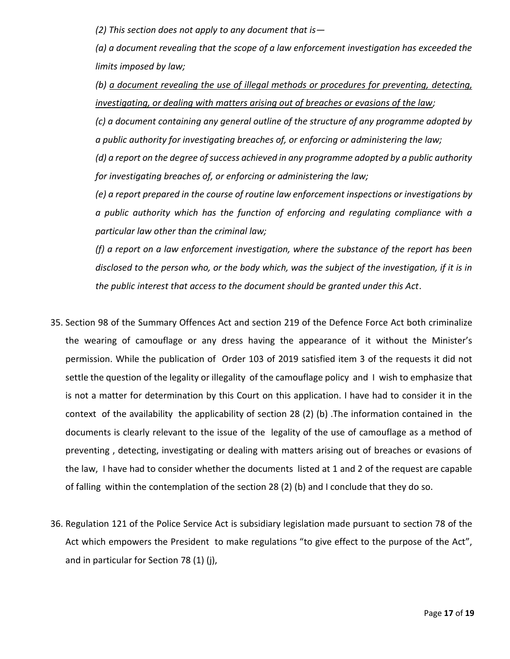*(2) This section does not apply to any document that is—*

*(a) a document revealing that the scope of a law enforcement investigation has exceeded the limits imposed by law;* 

*(b) a document revealing the use of illegal methods or procedures for preventing, detecting, investigating, or dealing with matters arising out of breaches or evasions of the law;*

*(c) a document containing any general outline of the structure of any programme adopted by a public authority for investigating breaches of, or enforcing or administering the law;* 

*(d) a report on the degree of success achieved in any programme adopted by a public authority for investigating breaches of, or enforcing or administering the law;* 

*(e) a report prepared in the course of routine law enforcement inspections or investigations by a public authority which has the function of enforcing and regulating compliance with a particular law other than the criminal law;* 

*(f) a report on a law enforcement investigation, where the substance of the report has been disclosed to the person who, or the body which, was the subject of the investigation, if it is in the public interest that access to the document should be granted under this Act*.

- 35. Section 98 of the Summary Offences Act and section 219 of the Defence Force Act both criminalize the wearing of camouflage or any dress having the appearance of it without the Minister's permission. While the publication of Order 103 of 2019 satisfied item 3 of the requests it did not settle the question of the legality or illegality of the camouflage policy and I wish to emphasize that is not a matter for determination by this Court on this application. I have had to consider it in the context of the availability the applicability of section 28 (2) (b) .The information contained in the documents is clearly relevant to the issue of the legality of the use of camouflage as a method of preventing , detecting, investigating or dealing with matters arising out of breaches or evasions of the law, I have had to consider whether the documents listed at 1 and 2 of the request are capable of falling within the contemplation of the section 28 (2) (b) and I conclude that they do so.
- 36. Regulation 121 of the Police Service Act is subsidiary legislation made pursuant to section 78 of the Act which empowers the President to make regulations "to give effect to the purpose of the Act", and in particular for Section 78 (1) (j),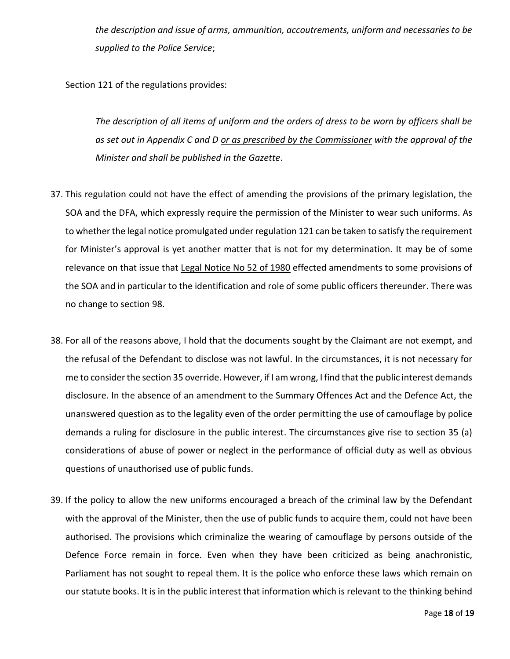*the description and issue of arms, ammunition, accoutrements, uniform and necessaries to be supplied to the Police Service*;

Section 121 of the regulations provides:

*The description of all items of uniform and the orders of dress to be worn by officers shall be as set out in Appendix C and D or as prescribed by the Commissioner with the approval of the Minister and shall be published in the Gazette*.

- 37. This regulation could not have the effect of amending the provisions of the primary legislation, the SOA and the DFA, which expressly require the permission of the Minister to wear such uniforms. As to whether the legal notice promulgated under regulation 121 can be taken to satisfy the requirement for Minister's approval is yet another matter that is not for my determination. It may be of some relevance on that issue that Legal Notice No 52 of 1980 effected amendments to some provisions of the SOA and in particular to the identification and role of some public officers thereunder. There was no change to section 98.
- 38. For all of the reasons above, I hold that the documents sought by the Claimant are not exempt, and the refusal of the Defendant to disclose was not lawful. In the circumstances, it is not necessary for me to consider the section 35 override. However, if I am wrong, I find that the public interest demands disclosure. In the absence of an amendment to the Summary Offences Act and the Defence Act, the unanswered question as to the legality even of the order permitting the use of camouflage by police demands a ruling for disclosure in the public interest. The circumstances give rise to section 35 (a) considerations of abuse of power or neglect in the performance of official duty as well as obvious questions of unauthorised use of public funds.
- 39. If the policy to allow the new uniforms encouraged a breach of the criminal law by the Defendant with the approval of the Minister, then the use of public funds to acquire them, could not have been authorised. The provisions which criminalize the wearing of camouflage by persons outside of the Defence Force remain in force. Even when they have been criticized as being anachronistic, Parliament has not sought to repeal them. It is the police who enforce these laws which remain on our statute books. It is in the public interest that information which is relevant to the thinking behind